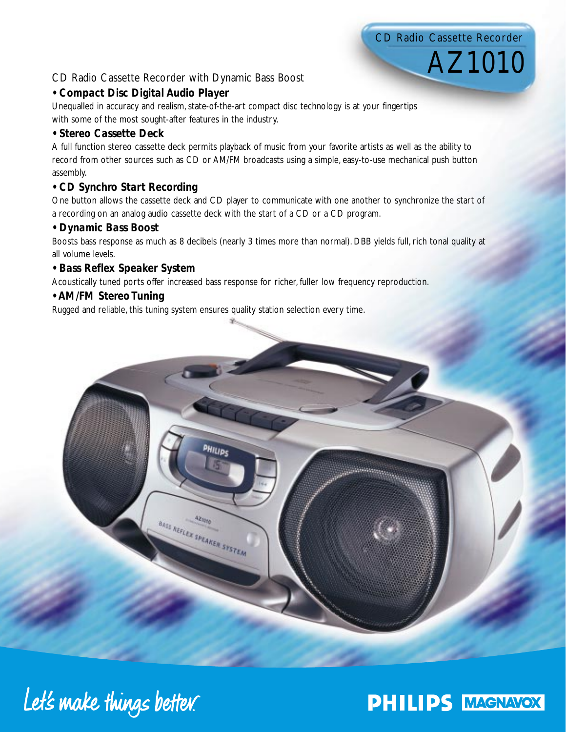# CD Radio Cassette Recorder

AZ1010

# CD Radio Cassette Recorder with Dynamic Bass Boost

# *• Compact Disc Digital Audio Player*

Unequalled in accuracy and realism, state-of-the-art compact disc technology is at your fingertips with some of the most sought-after features in the industry.

## *• Stereo Cassette Deck*

A full function stereo cassette deck permits playback of music from your favorite artists as well as the ability to record from other sources such as CD or AM/FM broadcasts using a simple, easy-to-use mechanical push button assembly.

## *• CD Synchro Start Recording*

One button allows the cassette deck and CD player to communicate with one another to synchronize the start of a recording on an analog audio cassette deck with the start of a CD or a CD program.

## *• Dynamic Bass Boost*

Boosts bass response as much as 8 decibels (nearly 3 times more than normal). DBB yields full, rich tonal quality at all volume levels.

## *• Bass Reflex Speaker System*

Acoustically tuned ports offer increased bass response for richer, fuller low frequency reproduction.

## *• AM/FM Stereo Tuning*

Rugged and reliable, this tuning system ensures quality station selection every time.



Let's make things better.